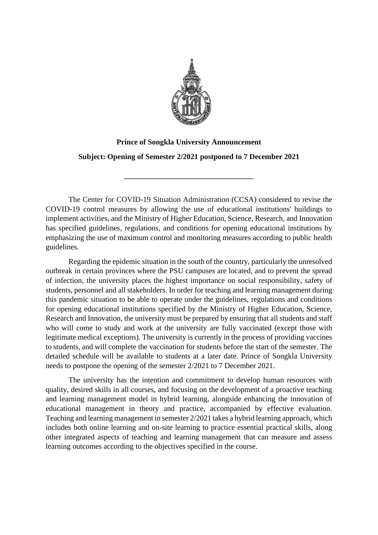

## **Prince of Songkla University Announcement Subject: Opening of Semester 2/2021 postponed to 7 December 2021**

**\_\_\_\_\_\_\_\_\_\_\_\_\_\_\_\_\_\_\_\_\_\_\_\_\_\_\_\_\_\_\_\_\_\_**

The Center for COVID-19 Situation Administration (CCSA) considered to revise the COVID-19 control measures by allowing the use of educational institutions' buildings to implement activities, and the Ministry of Higher Education, Science, Research, and Innovation has specified guidelines, regulations, and conditions for opening educational institutions by emphasizing the use of maximum control and monitoring measures according to public health guidelines.

Regarding the epidemic situation in the south of the country, particularly the unresolved outbreak in certain provinces where the PSU campuses are located, and to prevent the spread of infection, the university places the highest importance on social responsibility, safety of students, personnel and all stakeholders. In order for teaching and learning management during this pandemic situation to be able to operate under the guidelines, regulations and conditions for opening educational institutions specified by the Ministry of Higher Education, Science, Research and Innovation, the university must be prepared by ensuring that all students and staff who will come to study and work at the university are fully vaccinated (except those with legitimate medical exceptions). The university is currently in the process of providing vaccines to students, and will complete the vaccination for students before the start of the semester. The detailed schedule will be available to students at a later date. Prince of Songkla University needs to postpone the opening of the semester 2/2021 to 7 December 2021.

 The university has the intention and commitment to develop human resources with quality, desired skills in all courses, and focusing on the development of a proactive teaching and learning management model in hybrid learning, alongside enhancing the innovation of educational management in theory and practice, accompanied by effective evaluation. Teaching and learning management in semester 2/2021 takes a hybrid learning approach, which includes both online learning and on-site learning to practice essential practical skills, along other integrated aspects of teaching and learning management that can measure and assess learning outcomes according to the objectives specified in the course.